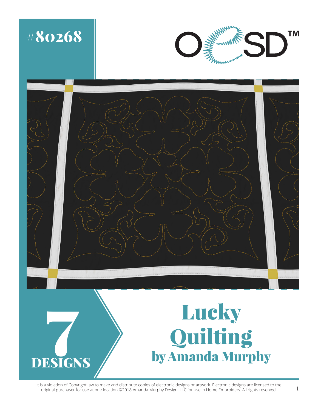

It is a violation of Copyright law to make and distribute copies of electronic designs or artwork. Electronic designs are licensed to the<br>1 original purchaser for use at one location.©2018 Amanda Murphy Design, LLC for use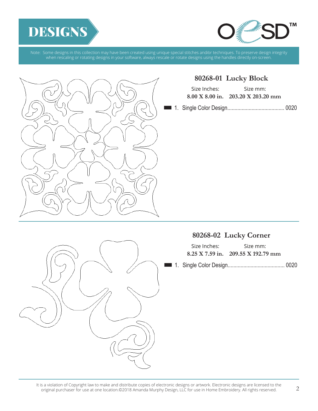





### **80268-01 Lucky Block**

| Size Inches: | Size mm:                                              |
|--------------|-------------------------------------------------------|
|              | $8.00 \text{ X } 8.00 \text{ in.}$ 203.20 X 203.20 mm |

n 1. Single Color Design........................................ 0020

# **80268-02 Lucky Corner**

| Size Inches: | Size mm:                             |
|--------------|--------------------------------------|
|              | $8.25$ X 7.59 in. 209.55 X 192.79 mm |

n 1. Single Color Design........................................ 0020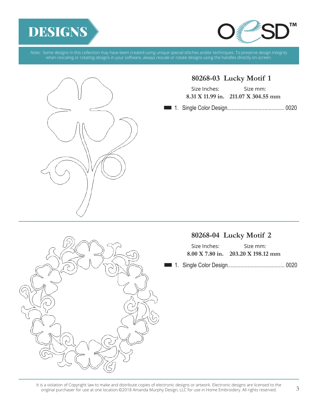





# **80268-03 Lucky Motif 1**

| Size Inches: | Size mm:                                               |
|--------------|--------------------------------------------------------|
|              | $8.31 \text{ X } 11.99 \text{ in.}$ 211.07 X 304.55 mm |

n 1. Single Color Design........................................ 0020

# **80268-04 Lucky Motif 2**

| Size Inches: | Size mm:                                     |
|--------------|----------------------------------------------|
|              | $8.00 \text{ X}$ 7.80 in. 203.20 X 198.12 mm |

n 1. Single Color Design........................................ 0020



<sup>3</sup> It is a violation of Copyright law to make and distribute copies of electronic designs or artwork. Electronic designs are licensed to the original purchaser for use at one location.©2018 Amanda Murphy Design, LLC for use in Home Embroidery. All rights reserved.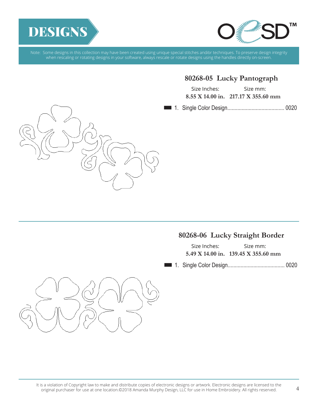



### **80268-05 Lucky Pantograph**

| Size Inches: | Size mm:                              |
|--------------|---------------------------------------|
|              | $8.55$ X 14.00 in. 217.17 X 355.60 mm |

n 1. Single Color Design........................................ 0020



## **80268-06 Lucky Straight Border**

| Size Inches: | Size mm:                            |
|--------------|-------------------------------------|
|              | 5.49 X 14.00 in. 139.45 X 355.60 mm |

n 1. Single Color Design........................................ 0020



It is a violation of Copyright law to make and distribute copies of electronic designs or artwork. Electronic designs are licensed to the<br>4 - ^ ^ ^ original purchaser for use at one location.©2018 Amanda Murphy Design, LLC